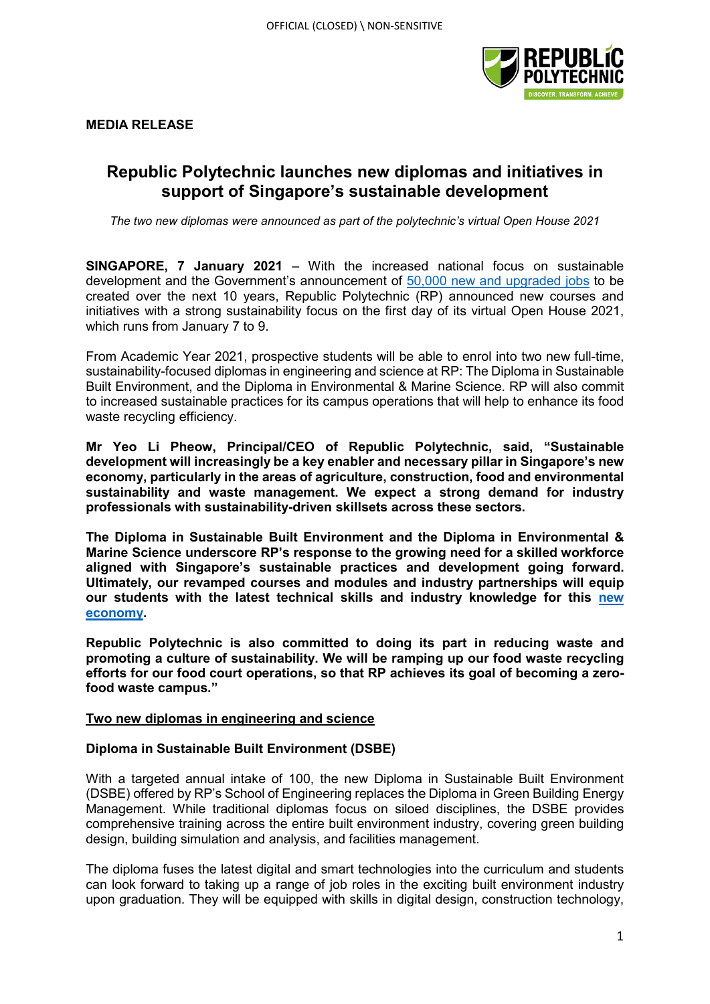

**MEDIA RELEASE** 

## **Republic Polytechnic launches new diplomas and initiatives in support of Singapore's sustainable development**

*The two new diplomas were announced as part of the polytechnic's virtual Open House 2021*

**SINGAPORE, 7 January 2021** – With the increased national focus on sustainable development and the Government's announcement of [50,000 new and upgraded jobs](https://www.channelnewsasia.com/news/singapore/new-jobs-environment-sustainability-grace-fu-mse-13059102) to be created over the next 10 years, Republic Polytechnic (RP) announced new courses and initiatives with a strong sustainability focus on the first day of its virtual Open House 2021, which runs from January 7 to 9.

From Academic Year 2021, prospective students will be able to enrol into two new full-time, sustainability-focused diplomas in engineering and science at RP: The Diploma in Sustainable Built Environment, and the Diploma in Environmental & Marine Science. RP will also commit to increased sustainable practices for its campus operations that will help to enhance its food waste recycling efficiency.

**Mr Yeo Li Pheow, Principal/CEO of Republic Polytechnic, said, "Sustainable development will increasingly be a key enabler and necessary pillar in Singapore's new economy, particularly in the areas of agriculture, construction, food and environmental sustainability and waste management. We expect a strong demand for industry professionals with sustainability-driven skillsets across these sectors.**

**The Diploma in Sustainable Built Environment and the Diploma in Environmental & Marine Science underscore RP's response to the growing need for a skilled workforce aligned with Singapore's sustainable practices and development going forward. Ultimately, our revamped courses and modules and industry partnerships will equip our students with the latest technical skills and industry knowledge for this [new](https://www.straitstimes.com/singapore/singapore-will-not-return-to-pre-covid-19-world-must-chart-a-new-path-now-chan-chun-sing)  [economy.](https://www.straitstimes.com/singapore/singapore-will-not-return-to-pre-covid-19-world-must-chart-a-new-path-now-chan-chun-sing)** 

**Republic Polytechnic is also committed to doing its part in reducing waste and promoting a culture of sustainability. We will be ramping up our food waste recycling efforts for our food court operations, so that RP achieves its goal of becoming a zerofood waste campus."** 

#### **Two new diplomas in engineering and science**

## **Diploma in Sustainable Built Environment (DSBE)**

With a targeted annual intake of 100, the new Diploma in Sustainable Built Environment (DSBE) offered by RP's School of Engineering replaces the Diploma in Green Building Energy Management. While traditional diplomas focus on siloed disciplines, the DSBE provides comprehensive training across the entire built environment industry, covering green building design, building simulation and analysis, and facilities management.

The diploma fuses the latest digital and smart technologies into the curriculum and students can look forward to taking up a range of job roles in the exciting built environment industry upon graduation. They will be equipped with skills in digital design, construction technology,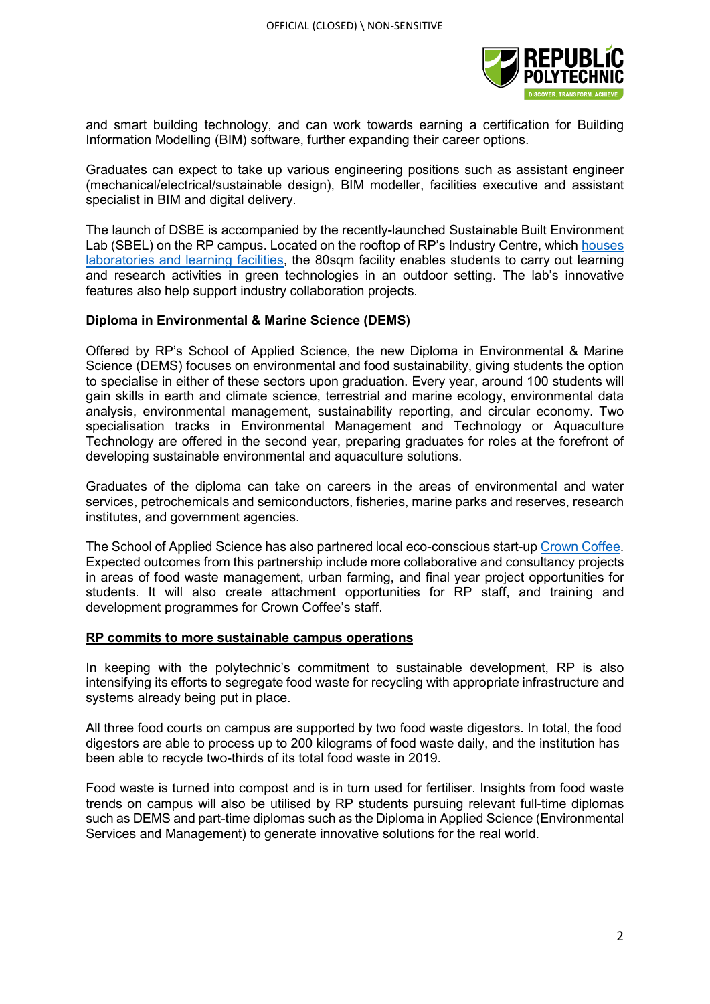

and smart building technology, and can work towards earning a certification for Building Information Modelling (BIM) software, further expanding their career options.

Graduates can expect to take up various engineering positions such as assistant engineer (mechanical/electrical/sustainable design), BIM modeller, facilities executive and assistant specialist in BIM and digital delivery.

The launch of DSBE is accompanied by the recently-launched Sustainable Built Environment Lab (SBEL) on the RP campus. Located on the rooftop of RP's Industry Centre, which [houses](https://www.rp.edu.sg/docs/default-source/about-us-doc/2016/media-release---republic-polytechnic-launches-industry-centre---3-august.pdf?sfvrsn=e74e52d3_2) [laboratories and learning facilities,](https://www.rp.edu.sg/docs/default-source/about-us-doc/2016/media-release---republic-polytechnic-launches-industry-centre---3-august.pdf?sfvrsn=e74e52d3_2) the 80sqm facility enables students to carry out learning and research activities in green technologies in an outdoor setting. The lab's innovative features also help support industry collaboration projects.

### **Diploma in Environmental & Marine Science (DEMS)**

Offered by RP's School of Applied Science, the new Diploma in Environmental & Marine Science (DEMS) focuses on environmental and food sustainability, giving students the option to specialise in either of these sectors upon graduation. Every year, around 100 students will gain skills in earth and climate science, terrestrial and marine ecology, environmental data analysis, environmental management, sustainability reporting, and circular economy. Two specialisation tracks in Environmental Management and Technology or Aquaculture Technology are offered in the second year, preparing graduates for roles at the forefront of developing sustainable environmental and aquaculture solutions.

Graduates of the diploma can take on careers in the areas of environmental and water services, petrochemicals and semiconductors, fisheries, marine parks and reserves, research institutes, and government agencies.

The School of Applied Science has also partnered local eco-conscious start-up [Crown Coffee.](http://crowncoffee.co/) Expected outcomes from this partnership include more collaborative and consultancy projects in areas of food waste management, urban farming, and final year project opportunities for students. It will also create attachment opportunities for RP staff, and training and development programmes for Crown Coffee's staff.

#### **RP commits to more sustainable campus operations**

In keeping with the polytechnic's commitment to sustainable development, RP is also intensifying its efforts to segregate food waste for recycling with appropriate infrastructure and systems already being put in place.

All three food courts on campus are supported by two food waste digestors. In total, the food digestors are able to process up to 200 kilograms of food waste daily, and the institution has been able to recycle two-thirds of its total food waste in 2019.

Food waste is turned into compost and is in turn used for fertiliser. Insights from food waste trends on campus will also be utilised by RP students pursuing relevant full-time diplomas such as DEMS and part-time diplomas such as the Diploma in Applied Science (Environmental Services and Management) to generate innovative solutions for the real world.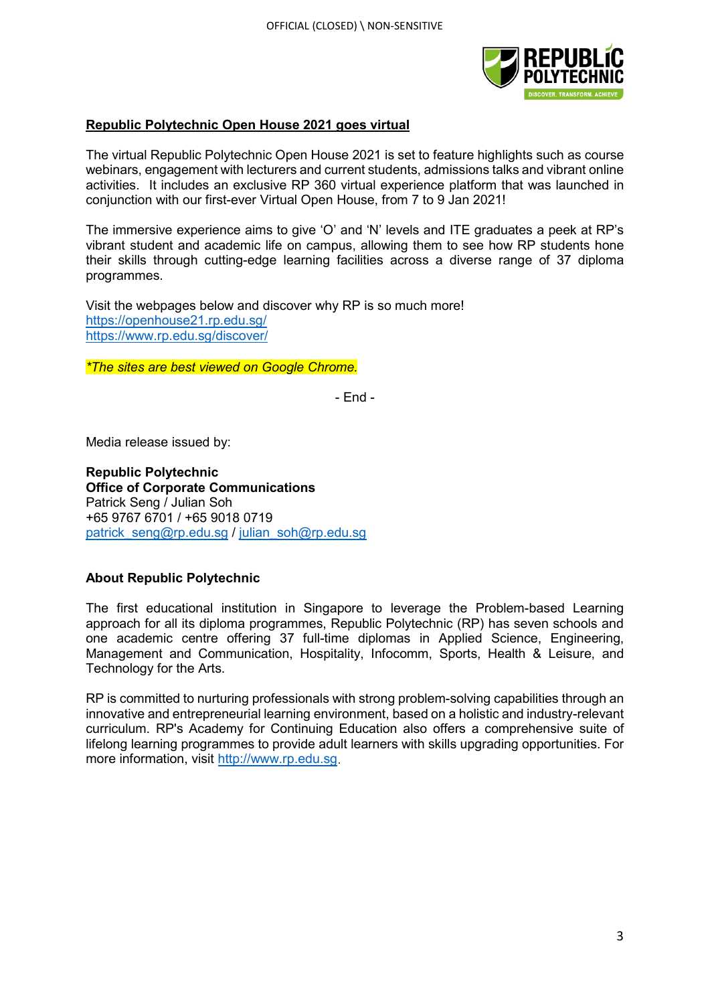

## **Republic Polytechnic Open House 2021 goes virtual**

The virtual Republic Polytechnic Open House 2021 is set to feature highlights such as course webinars, engagement with lecturers and current students, admissions talks and vibrant online activities. It includes an exclusive RP 360 virtual experience platform that was launched in conjunction with our first-ever Virtual Open House, from 7 to 9 Jan 2021!

The immersive experience aims to give 'O' and 'N' levels and ITE graduates a peek at RP's vibrant student and academic life on campus, allowing them to see how RP students hone their skills through cutting-edge learning facilities across a diverse range of 37 diploma programmes.

Visit the webpages below and discover why RP is so much more! <https://openhouse21.rp.edu.sg/> <https://www.rp.edu.sg/discover/>

*\*The sites are best viewed on Google Chrome.*

- End -

Media release issued by:

**Republic Polytechnic Office of Corporate Communications**  Patrick Seng / Julian Soh +65 9767 6701 / +65 9018 0719 [patrick\\_seng@rp.edu.sg](mailto:patrick_seng@rp.edu.sg) / [julian\\_soh@rp.edu.sg](mailto:julian_soh@rp.edu.sg)

## **About Republic Polytechnic**

The first educational institution in Singapore to leverage the Problem-based Learning approach for all its diploma programmes, Republic Polytechnic (RP) has seven schools and one academic centre offering 37 full-time diplomas in Applied Science, Engineering, Management and Communication, Hospitality, Infocomm, Sports, Health & Leisure, and Technology for the Arts.

RP is committed to nurturing professionals with strong problem-solving capabilities through an innovative and entrepreneurial learning environment, based on a holistic and industry-relevant curriculum. RP's Academy for Continuing Education also offers a comprehensive suite of lifelong learning programmes to provide adult learners with skills upgrading opportunities. For more information, visit [http://www.rp.edu.sg.](http://www.rp.edu.sg/)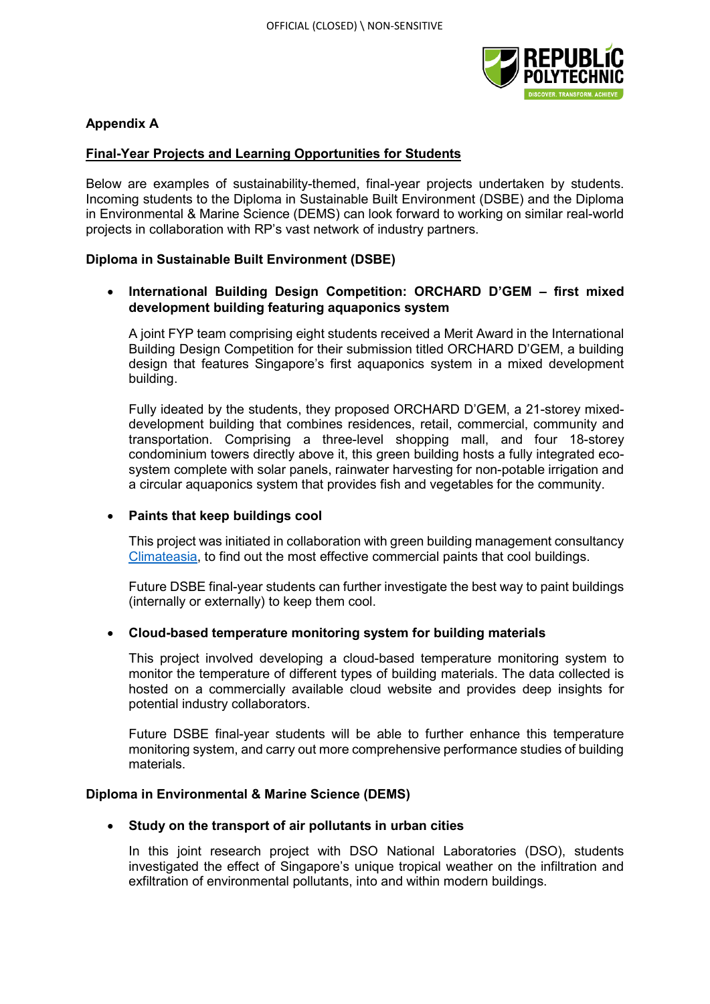

## **Appendix A**

## **Final-Year Projects and Learning Opportunities for Students**

Below are examples of sustainability-themed, final-year projects undertaken by students. Incoming students to the Diploma in Sustainable Built Environment (DSBE) and the Diploma in Environmental & Marine Science (DEMS) can look forward to working on similar real-world projects in collaboration with RP's vast network of industry partners.

## **Diploma in Sustainable Built Environment (DSBE)**

## • **International Building Design Competition: ORCHARD D'GEM – first mixed development building featuring aquaponics system**

A joint FYP team comprising eight students received a Merit Award in the International Building Design Competition for their submission titled ORCHARD D'GEM, a building design that features Singapore's first aquaponics system in a mixed development building.

Fully ideated by the students, they proposed ORCHARD D'GEM, a 21-storey mixeddevelopment building that combines residences, retail, commercial, community and transportation. Comprising a three-level shopping mall, and four 18-storey condominium towers directly above it, this green building hosts a fully integrated ecosystem complete with solar panels, rainwater harvesting for non-potable irrigation and a circular aquaponics system that provides fish and vegetables for the community.

#### • **Paints that keep buildings cool**

This project was initiated in collaboration with green building management consultancy [Climateasia,](http://www.climateasia.com/) to find out the most effective commercial paints that cool buildings.

Future DSBE final-year students can further investigate the best way to paint buildings (internally or externally) to keep them cool.

#### • **Cloud-based temperature monitoring system for building materials**

This project involved developing a cloud-based temperature monitoring system to monitor the temperature of different types of building materials. The data collected is hosted on a commercially available cloud website and provides deep insights for potential industry collaborators.

Future DSBE final-year students will be able to further enhance this temperature monitoring system, and carry out more comprehensive performance studies of building materials.

#### **Diploma in Environmental & Marine Science (DEMS)**

#### • **Study on the transport of air pollutants in urban cities**

In this joint research project with DSO National Laboratories (DSO), students investigated the effect of Singapore's unique tropical weather on the infiltration and exfiltration of environmental pollutants, into and within modern buildings.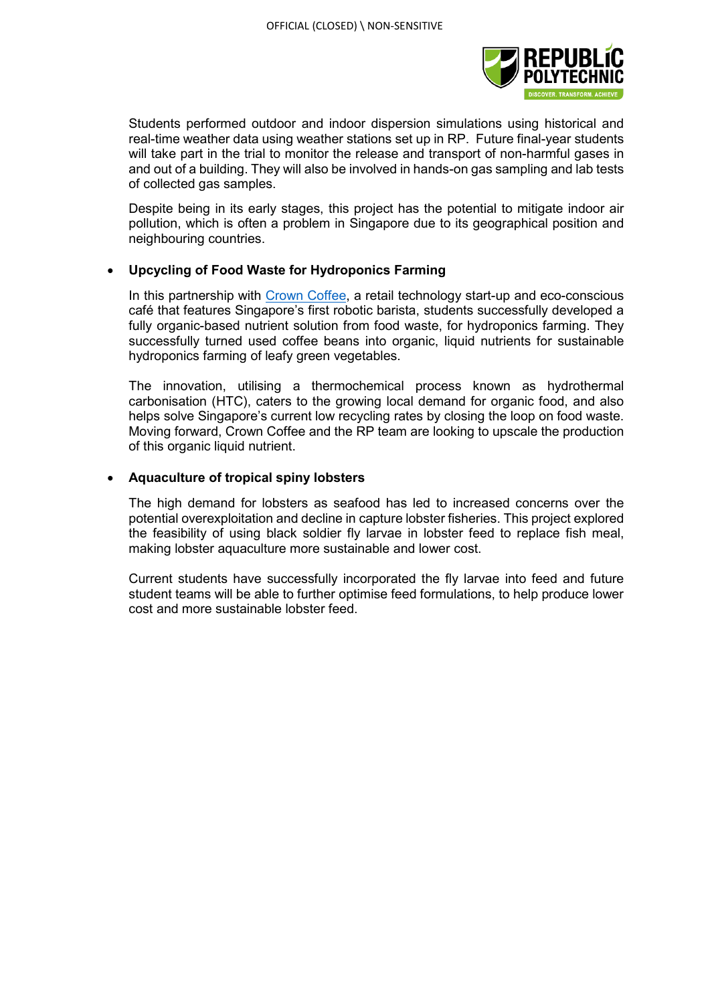

Students performed outdoor and indoor dispersion simulations using historical and real-time weather data using weather stations set up in RP. Future final-year students will take part in the trial to monitor the release and transport of non-harmful gases in and out of a building. They will also be involved in hands-on gas sampling and lab tests of collected gas samples.

Despite being in its early stages, this project has the potential to mitigate indoor air pollution, which is often a problem in Singapore due to its geographical position and neighbouring countries.

## • **Upcycling of Food Waste for Hydroponics Farming**

In this partnership with [Crown Coffee,](http://crowndigital.io/) a retail technology start-up and eco-conscious café that features Singapore's first robotic barista, students successfully developed a fully organic-based nutrient solution from food waste, for hydroponics farming. They successfully turned used coffee beans into organic, liquid nutrients for sustainable hydroponics farming of leafy green vegetables.

The innovation, utilising a thermochemical process known as hydrothermal carbonisation (HTC), caters to the growing local demand for organic food, and also helps solve Singapore's current low recycling rates by closing the loop on food waste. Moving forward, Crown Coffee and the RP team are looking to upscale the production of this organic liquid nutrient.

## • **Aquaculture of tropical spiny lobsters**

The high demand for lobsters as seafood has led to increased concerns over the potential overexploitation and decline in capture lobster fisheries. This project explored the feasibility of using black soldier fly larvae in lobster feed to replace fish meal, making lobster aquaculture more sustainable and lower cost.

Current students have successfully incorporated the fly larvae into feed and future student teams will be able to further optimise feed formulations, to help produce lower cost and more sustainable lobster feed.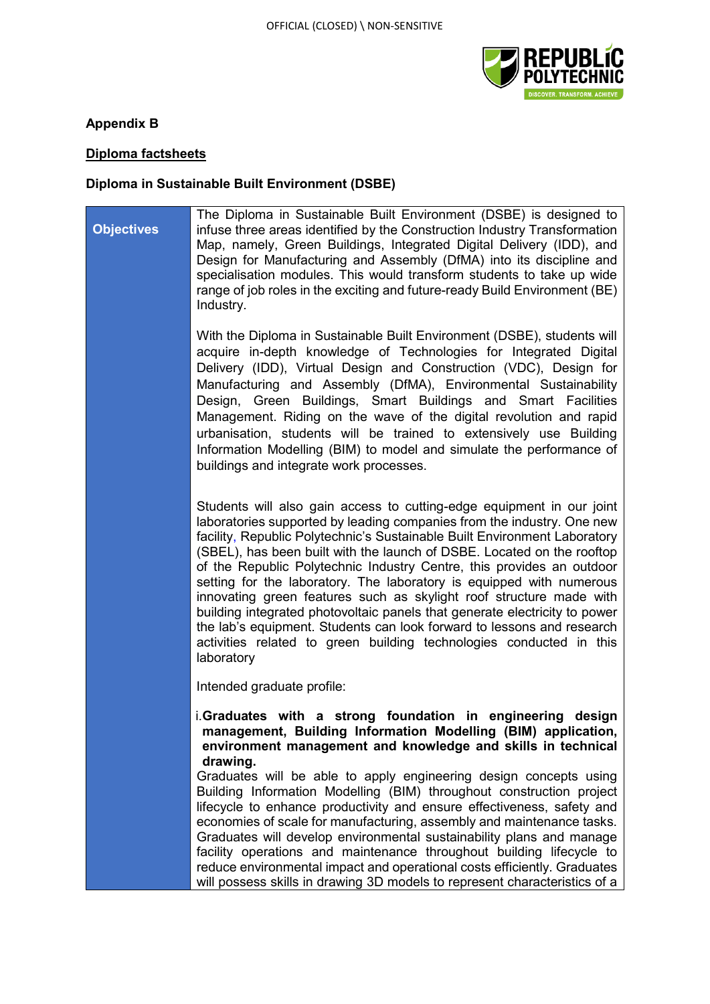

## **Appendix B**

# **Diploma factsheets**

# **Diploma in Sustainable Built Environment (DSBE)**

| <b>Objectives</b> | The Diploma in Sustainable Built Environment (DSBE) is designed to<br>infuse three areas identified by the Construction Industry Transformation<br>Map, namely, Green Buildings, Integrated Digital Delivery (IDD), and<br>Design for Manufacturing and Assembly (DfMA) into its discipline and<br>specialisation modules. This would transform students to take up wide<br>range of job roles in the exciting and future-ready Build Environment (BE)<br>Industry.                                                                                                                                                                                                                                                                                                         |
|-------------------|-----------------------------------------------------------------------------------------------------------------------------------------------------------------------------------------------------------------------------------------------------------------------------------------------------------------------------------------------------------------------------------------------------------------------------------------------------------------------------------------------------------------------------------------------------------------------------------------------------------------------------------------------------------------------------------------------------------------------------------------------------------------------------|
|                   | With the Diploma in Sustainable Built Environment (DSBE), students will<br>acquire in-depth knowledge of Technologies for Integrated Digital<br>Delivery (IDD), Virtual Design and Construction (VDC), Design for<br>Manufacturing and Assembly (DfMA), Environmental Sustainability<br>Design, Green Buildings, Smart Buildings and Smart Facilities<br>Management. Riding on the wave of the digital revolution and rapid<br>urbanisation, students will be trained to extensively use Building<br>Information Modelling (BIM) to model and simulate the performance of<br>buildings and integrate work processes.                                                                                                                                                        |
|                   | Students will also gain access to cutting-edge equipment in our joint<br>laboratories supported by leading companies from the industry. One new<br>facility, Republic Polytechnic's Sustainable Built Environment Laboratory<br>(SBEL), has been built with the launch of DSBE. Located on the rooftop<br>of the Republic Polytechnic Industry Centre, this provides an outdoor<br>setting for the laboratory. The laboratory is equipped with numerous<br>innovating green features such as skylight roof structure made with<br>building integrated photovoltaic panels that generate electricity to power<br>the lab's equipment. Students can look forward to lessons and research<br>activities related to green building technologies conducted in this<br>laboratory |
|                   | Intended graduate profile:                                                                                                                                                                                                                                                                                                                                                                                                                                                                                                                                                                                                                                                                                                                                                  |
|                   | i.Graduates with a strong foundation in engineering<br>design<br>management, Building Information Modelling (BIM) application,<br>environment management and knowledge and skills in technical<br>drawing.<br>Graduates will be able to apply engineering design concepts using                                                                                                                                                                                                                                                                                                                                                                                                                                                                                             |
|                   | Building Information Modelling (BIM) throughout construction project<br>lifecycle to enhance productivity and ensure effectiveness, safety and<br>economies of scale for manufacturing, assembly and maintenance tasks.<br>Graduates will develop environmental sustainability plans and manage<br>facility operations and maintenance throughout building lifecycle to<br>reduce environmental impact and operational costs efficiently. Graduates<br>will possess skills in drawing 3D models to represent characteristics of a                                                                                                                                                                                                                                           |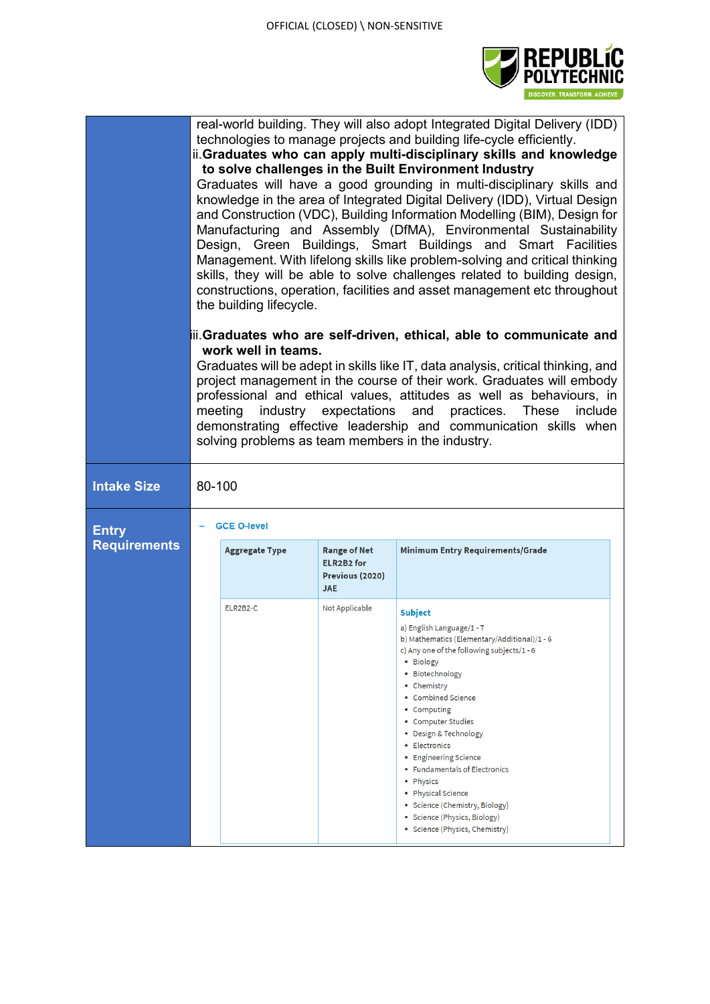

|                                     | real-world building. They will also adopt Integrated Digital Delivery (IDD)<br>technologies to manage projects and building life-cycle efficiently.<br>ii.Graduates who can apply multi-disciplinary skills and knowledge<br>to solve challenges in the Built Environment Industry<br>Graduates will have a good grounding in multi-disciplinary skills and<br>knowledge in the area of Integrated Digital Delivery (IDD), Virtual Design<br>and Construction (VDC), Building Information Modelling (BIM), Design for<br>Manufacturing and Assembly (DfMA), Environmental Sustainability<br>Design, Green Buildings, Smart Buildings and Smart Facilities<br>Management. With lifelong skills like problem-solving and critical thinking<br>skills, they will be able to solve challenges related to building design,<br>constructions, operation, facilities and asset management etc throughout<br>the building lifecycle. |          |                              |                                                                                                                                                                                                                                                                                                                                                                                                                                                                                                |  |
|-------------------------------------|------------------------------------------------------------------------------------------------------------------------------------------------------------------------------------------------------------------------------------------------------------------------------------------------------------------------------------------------------------------------------------------------------------------------------------------------------------------------------------------------------------------------------------------------------------------------------------------------------------------------------------------------------------------------------------------------------------------------------------------------------------------------------------------------------------------------------------------------------------------------------------------------------------------------------|----------|------------------------------|------------------------------------------------------------------------------------------------------------------------------------------------------------------------------------------------------------------------------------------------------------------------------------------------------------------------------------------------------------------------------------------------------------------------------------------------------------------------------------------------|--|
|                                     | iii.Graduates who are self-driven, ethical, able to communicate and<br>work well in teams.<br>Graduates will be adept in skills like IT, data analysis, critical thinking, and<br>project management in the course of their work. Graduates will embody<br>professional and ethical values, attitudes as well as behaviours, in<br>industry expectations and practices. These<br>meeting<br>include<br>demonstrating effective leadership and communication skills when<br>solving problems as team members in the industry.                                                                                                                                                                                                                                                                                                                                                                                                 |          |                              |                                                                                                                                                                                                                                                                                                                                                                                                                                                                                                |  |
| <b>Intake Size</b>                  | 80-100                                                                                                                                                                                                                                                                                                                                                                                                                                                                                                                                                                                                                                                                                                                                                                                                                                                                                                                       |          |                              |                                                                                                                                                                                                                                                                                                                                                                                                                                                                                                |  |
| <b>Entry</b><br><b>Requirements</b> | <b>GCE O-level</b><br><b>Aggregate Type</b><br><b>Range of Net</b><br>Minimum Entry Requirements/Grade<br><b>ELR2B2 for</b><br>Previous (2020)                                                                                                                                                                                                                                                                                                                                                                                                                                                                                                                                                                                                                                                                                                                                                                               |          |                              |                                                                                                                                                                                                                                                                                                                                                                                                                                                                                                |  |
|                                     |                                                                                                                                                                                                                                                                                                                                                                                                                                                                                                                                                                                                                                                                                                                                                                                                                                                                                                                              | ELR2B2-C | <b>JAE</b><br>Not Applicable | <b>Subject</b><br>a) English Language/1 - 7<br>b) Mathematics (Elementary/Additional)/1 - 6<br>c) Any one of the following subjects/1 - 6<br>• Biology<br>• Biotechnology<br>• Chemistry<br>• Combined Science<br>• Computing<br>• Computer Studies<br>• Design & Technology<br>• Electronics<br>• Engineering Science<br>• Fundamentals of Electronics<br>• Physics<br>• Physical Science<br>• Science (Chemistry, Biology)<br>• Science (Physics, Biology)<br>• Science (Physics, Chemistry) |  |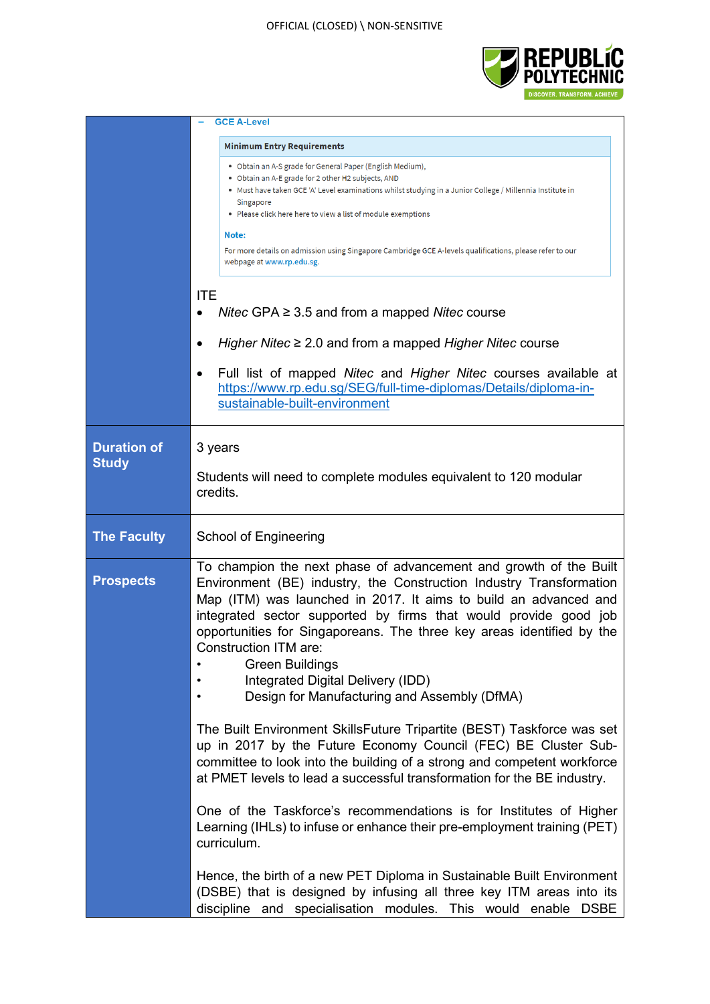### OFFICIAL (CLOSED) \ NON-SENSITIVE



|                                    | <b>GCE A-Level</b>                                                                                                                                                                                                                                                                                                                                                                                                                                                                                                                                                                                                                                                                                                                                                                                             |  |  |  |  |
|------------------------------------|----------------------------------------------------------------------------------------------------------------------------------------------------------------------------------------------------------------------------------------------------------------------------------------------------------------------------------------------------------------------------------------------------------------------------------------------------------------------------------------------------------------------------------------------------------------------------------------------------------------------------------------------------------------------------------------------------------------------------------------------------------------------------------------------------------------|--|--|--|--|
|                                    | <b>Minimum Entry Requirements</b><br>• Obtain an A-S grade for General Paper (English Medium),<br>• Obtain an A-E grade for 2 other H2 subjects, AND<br>• Must have taken GCE 'A' Level examinations whilst studying in a Junior College / Millennia Institute in<br>Singapore<br>• Please click here here to view a list of module exemptions<br>Note:<br>For more details on admission using Singapore Cambridge GCE A-levels qualifications, please refer to our<br>webpage at www.rp.edu.sg.<br><b>ITE</b><br>Nitec GPA $\geq$ 3.5 and from a mapped Nitec course<br>Higher Nitec $\geq$ 2.0 and from a mapped Higher Nitec course<br>Full list of mapped Nitec and Higher Nitec courses available at<br>https://www.rp.edu.sg/SEG/full-time-diplomas/Details/diploma-in-<br>sustainable-built-environment |  |  |  |  |
| <b>Duration of</b><br><b>Study</b> | 3 years<br>Students will need to complete modules equivalent to 120 modular<br>credits.                                                                                                                                                                                                                                                                                                                                                                                                                                                                                                                                                                                                                                                                                                                        |  |  |  |  |
| <b>The Faculty</b>                 | <b>School of Engineering</b>                                                                                                                                                                                                                                                                                                                                                                                                                                                                                                                                                                                                                                                                                                                                                                                   |  |  |  |  |
| <b>Prospects</b>                   | To champion the next phase of advancement and growth of the Built<br>Environment (BE) industry, the Construction Industry Transformation<br>Map (ITM) was launched in 2017. It aims to build an advanced and<br>integrated sector supported by firms that would provide good job<br>opportunities for Singaporeans. The three key areas identified by the<br>Construction ITM are:<br><b>Green Buildings</b><br>Integrated Digital Delivery (IDD)<br>Design for Manufacturing and Assembly (DfMA)                                                                                                                                                                                                                                                                                                              |  |  |  |  |
|                                    | The Built Environment SkillsFuture Tripartite (BEST) Taskforce was set<br>up in 2017 by the Future Economy Council (FEC) BE Cluster Sub-<br>committee to look into the building of a strong and competent workforce<br>at PMET levels to lead a successful transformation for the BE industry.                                                                                                                                                                                                                                                                                                                                                                                                                                                                                                                 |  |  |  |  |
|                                    | One of the Taskforce's recommendations is for Institutes of Higher<br>Learning (IHLs) to infuse or enhance their pre-employment training (PET)<br>curriculum.                                                                                                                                                                                                                                                                                                                                                                                                                                                                                                                                                                                                                                                  |  |  |  |  |
|                                    | Hence, the birth of a new PET Diploma in Sustainable Built Environment<br>(DSBE) that is designed by infusing all three key ITM areas into its<br>discipline<br>and specialisation modules.<br>This would enable<br><b>DSBE</b>                                                                                                                                                                                                                                                                                                                                                                                                                                                                                                                                                                                |  |  |  |  |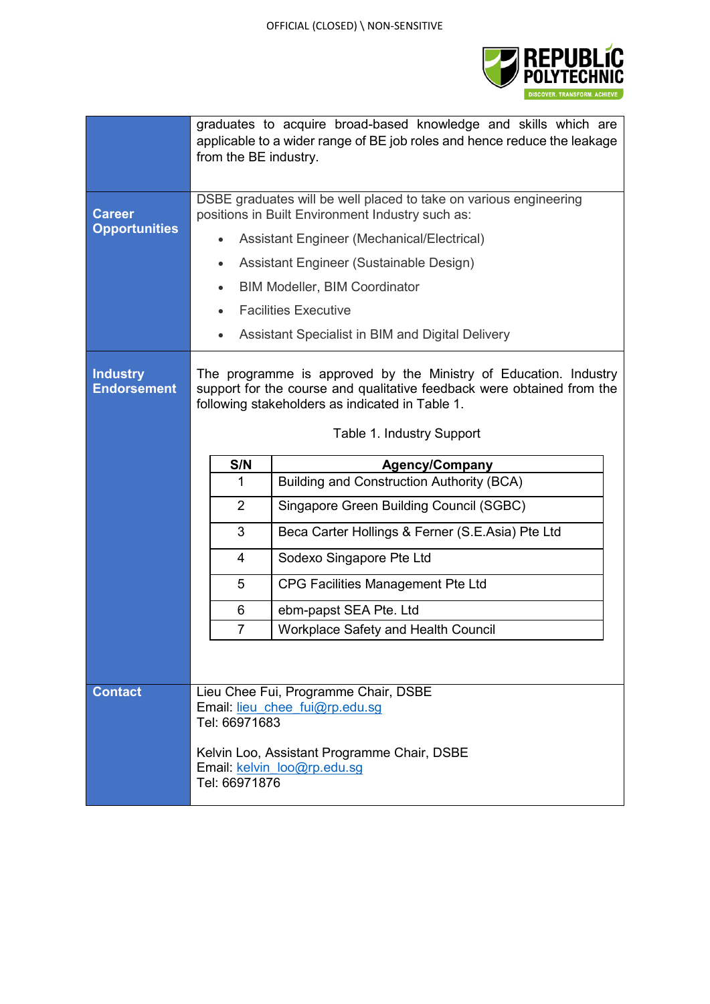

|                                       | graduates to acquire broad-based knowledge and skills which are<br>applicable to a wider range of BE job roles and hence reduce the leakage<br>from the BE industry.                          |                                                  |  |  |  |
|---------------------------------------|-----------------------------------------------------------------------------------------------------------------------------------------------------------------------------------------------|--------------------------------------------------|--|--|--|
| <b>Career</b>                         | DSBE graduates will be well placed to take on various engineering<br>positions in Built Environment Industry such as:                                                                         |                                                  |  |  |  |
| <b>Opportunities</b>                  |                                                                                                                                                                                               | Assistant Engineer (Mechanical/Electrical)       |  |  |  |
|                                       | $\bullet$                                                                                                                                                                                     | Assistant Engineer (Sustainable Design)          |  |  |  |
|                                       |                                                                                                                                                                                               | <b>BIM Modeller, BIM Coordinator</b>             |  |  |  |
|                                       |                                                                                                                                                                                               | <b>Facilities Executive</b>                      |  |  |  |
|                                       |                                                                                                                                                                                               | Assistant Specialist in BIM and Digital Delivery |  |  |  |
| <b>Industry</b><br><b>Endorsement</b> | The programme is approved by the Ministry of Education. Industry<br>support for the course and qualitative feedback were obtained from the<br>following stakeholders as indicated in Table 1. |                                                  |  |  |  |
|                                       | Table 1. Industry Support                                                                                                                                                                     |                                                  |  |  |  |
|                                       | S/N                                                                                                                                                                                           | <b>Agency/Company</b>                            |  |  |  |
|                                       | 1                                                                                                                                                                                             | <b>Building and Construction Authority (BCA)</b> |  |  |  |
|                                       | $\overline{2}$                                                                                                                                                                                | Singapore Green Building Council (SGBC)          |  |  |  |
|                                       | 3                                                                                                                                                                                             | Beca Carter Hollings & Ferner (S.E.Asia) Pte Ltd |  |  |  |
|                                       | 4                                                                                                                                                                                             | Sodexo Singapore Pte Ltd                         |  |  |  |
|                                       | 5                                                                                                                                                                                             | CPG Facilities Management Pte Ltd                |  |  |  |
|                                       | 6                                                                                                                                                                                             | ebm-papst SEA Pte. Ltd                           |  |  |  |
|                                       | $\overline{7}$                                                                                                                                                                                | <b>Workplace Safety and Health Council</b>       |  |  |  |
|                                       |                                                                                                                                                                                               |                                                  |  |  |  |
| <b>Contact</b>                        | Lieu Chee Fui, Programme Chair, DSBE<br>Email: lieu chee fui@rp.edu.sg<br>Tel: 66971683                                                                                                       |                                                  |  |  |  |
|                                       | Kelvin Loo, Assistant Programme Chair, DSBE<br>Email: kelvin loo@rp.edu.sg<br>Tel: 66971876                                                                                                   |                                                  |  |  |  |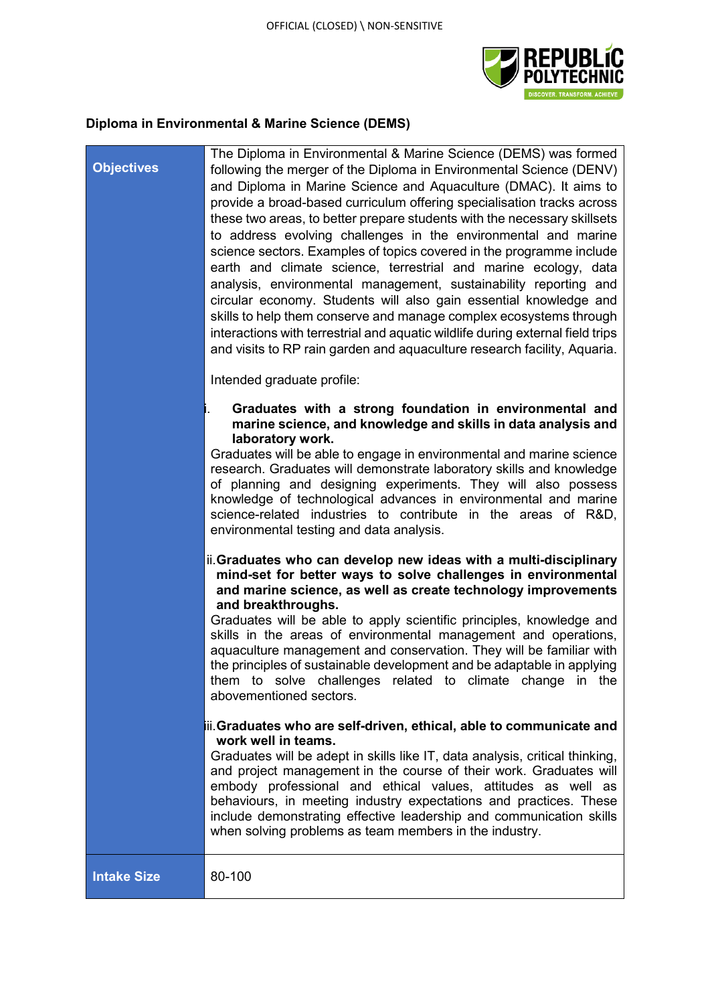The Diploma in Environmental & Marine Science (DEMS) was formed



## **Diploma in Environmental & Marine Science (DEMS)**

## **Objectives** following the merger of the Diploma in Environmental Science (DENV) and Diploma in Marine Science and Aquaculture (DMAC). It aims to provide a broad-based curriculum offering specialisation tracks across these two areas, to better prepare students with the necessary skillsets to address evolving challenges in the environmental and marine science sectors. Examples of topics covered in the programme include earth and climate science, terrestrial and marine ecology, data analysis, environmental management, sustainability reporting and circular economy. Students will also gain essential knowledge and skills to help them conserve and manage complex ecosystems through interactions with terrestrial and aquatic wildlife during external field trips and visits to RP rain garden and aquaculture research facility, Aquaria. Intended graduate profile: i. **Graduates with a strong foundation in environmental and marine science, and knowledge and skills in data analysis and laboratory work.**  Graduates will be able to engage in environmental and marine science research. Graduates will demonstrate laboratory skills and knowledge of planning and designing experiments. They will also possess knowledge of technological advances in environmental and marine science-related industries to contribute in the areas of R&D, environmental testing and data analysis. ii.**Graduates who can develop new ideas with a multi-disciplinary mind-set for better ways to solve challenges in environmental and marine science, as well as create technology improvements and breakthroughs.** Graduates will be able to apply scientific principles, knowledge and skills in the areas of environmental management and operations, aquaculture management and conservation. They will be familiar with the principles of sustainable development and be adaptable in applying them to solve challenges related to climate change in the abovementioned sectors.

### iii.**Graduates who are self-driven, ethical, able to communicate and work well in teams.**

Graduates will be adept in skills like IT, data analysis, critical thinking, and project management in the course of their work. Graduates will embody professional and ethical values, attitudes as well as behaviours, in meeting industry expectations and practices. These include demonstrating effective leadership and communication skills when solving problems as team members in the industry.

**Intake Size 80-100**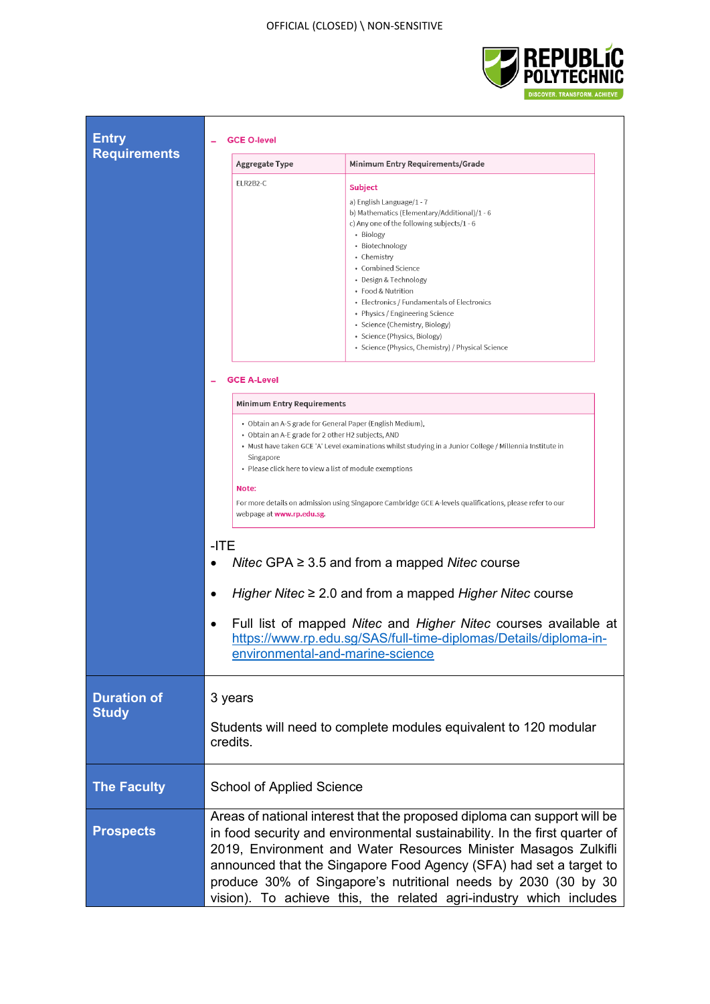

┑

| <b>Entry</b>                       | <b>GCE O-level</b>                                                                                                                                                                                                                                                                                                                                                                                                                                     |                                                                                                                                                                                                                                                                                                                                                                                                                   |  |  |  |
|------------------------------------|--------------------------------------------------------------------------------------------------------------------------------------------------------------------------------------------------------------------------------------------------------------------------------------------------------------------------------------------------------------------------------------------------------------------------------------------------------|-------------------------------------------------------------------------------------------------------------------------------------------------------------------------------------------------------------------------------------------------------------------------------------------------------------------------------------------------------------------------------------------------------------------|--|--|--|
| <b>Requirements</b>                | Aggregate Type                                                                                                                                                                                                                                                                                                                                                                                                                                         | Minimum Entry Requirements/Grade                                                                                                                                                                                                                                                                                                                                                                                  |  |  |  |
|                                    | ELR2B2-C                                                                                                                                                                                                                                                                                                                                                                                                                                               | <b>Subject</b><br>a) English Language/1 - 7<br>b) Mathematics (Elementary/Additional)/1 - 6<br>c) Any one of the following subjects/1 - 6<br>• Biology<br>• Biotechnology<br>• Chemistry<br>• Combined Science<br>• Design & Technology<br>• Food & Nutrition<br>• Electronics / Fundamentals of Electronics<br>• Physics / Engineering Science<br>· Science (Chemistry, Biology)<br>• Science (Physics, Biology) |  |  |  |
|                                    | <b>GCE A-Level</b>                                                                                                                                                                                                                                                                                                                                                                                                                                     | · Science (Physics, Chemistry) / Physical Science                                                                                                                                                                                                                                                                                                                                                                 |  |  |  |
|                                    | <b>Minimum Entry Requirements</b>                                                                                                                                                                                                                                                                                                                                                                                                                      |                                                                                                                                                                                                                                                                                                                                                                                                                   |  |  |  |
|                                    | • Obtain an A-S grade for General Paper (English Medium),<br>• Obtain an A-E grade for 2 other H2 subjects, AND<br>• Must have taken GCE 'A' Level examinations whilst studying in a Junior College / Millennia Institute in<br>Singapore<br>• Please click here to view a list of module exemptions<br>Note:<br>For more details on admission using Singapore Cambridge GCE A-levels qualifications, please refer to our<br>webpage at www.rp.edu.sg. |                                                                                                                                                                                                                                                                                                                                                                                                                   |  |  |  |
|                                    | $-ITE$<br>Nitec GPA $\geq$ 3.5 and from a mapped Nitec course<br>Higher Nitec $\geq 2.0$ and from a mapped Higher Nitec course<br>Full list of mapped Nitec and Higher Nitec courses available at<br>٠                                                                                                                                                                                                                                                 |                                                                                                                                                                                                                                                                                                                                                                                                                   |  |  |  |
|                                    | environmental-and-marine-science                                                                                                                                                                                                                                                                                                                                                                                                                       | https://www.rp.edu.sg/SAS/full-time-diplomas/Details/diploma-in-                                                                                                                                                                                                                                                                                                                                                  |  |  |  |
| <b>Duration of</b><br><b>Study</b> | 3 years<br>Students will need to complete modules equivalent to 120 modular<br>credits.                                                                                                                                                                                                                                                                                                                                                                |                                                                                                                                                                                                                                                                                                                                                                                                                   |  |  |  |
| <b>The Faculty</b>                 | <b>School of Applied Science</b>                                                                                                                                                                                                                                                                                                                                                                                                                       |                                                                                                                                                                                                                                                                                                                                                                                                                   |  |  |  |
| <b>Prospects</b>                   | Areas of national interest that the proposed diploma can support will be<br>in food security and environmental sustainability. In the first quarter of<br>2019, Environment and Water Resources Minister Masagos Zulkifli<br>announced that the Singapore Food Agency (SFA) had set a target to<br>produce 30% of Singapore's nutritional needs by 2030 (30 by 30<br>vision). To achieve this, the related agri-industry which includes                |                                                                                                                                                                                                                                                                                                                                                                                                                   |  |  |  |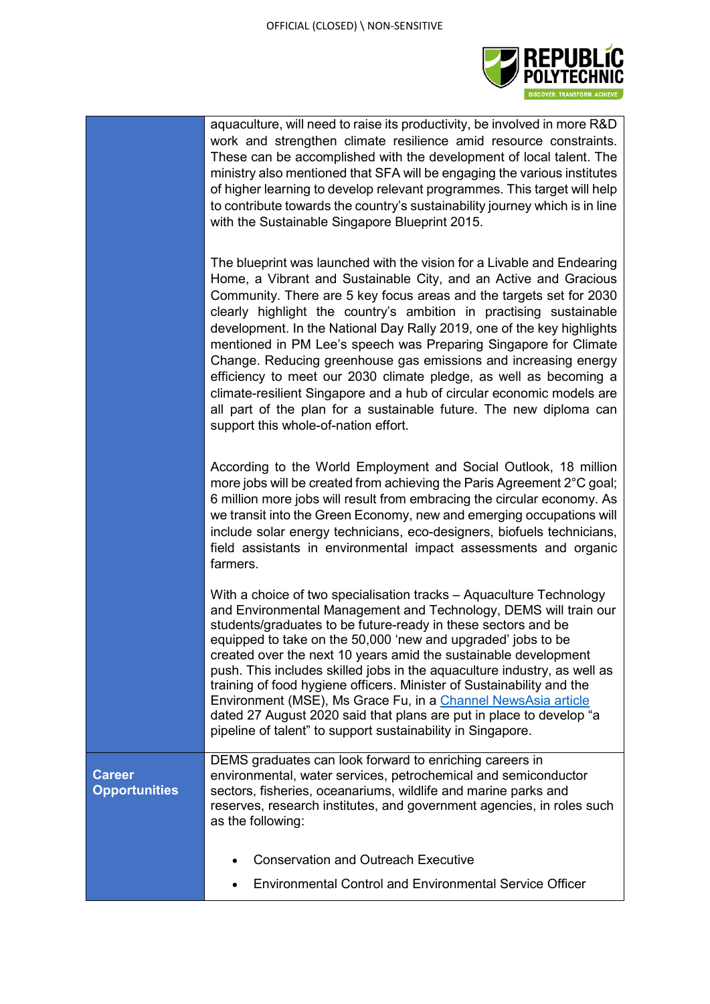

|                                       | aquaculture, will need to raise its productivity, be involved in more R&D<br>work and strengthen climate resilience amid resource constraints.<br>These can be accomplished with the development of local talent. The<br>ministry also mentioned that SFA will be engaging the various institutes<br>of higher learning to develop relevant programmes. This target will help<br>to contribute towards the country's sustainability journey which is in line<br>with the Sustainable Singapore Blueprint 2015.                                                                                                                                                                                                                                                       |
|---------------------------------------|----------------------------------------------------------------------------------------------------------------------------------------------------------------------------------------------------------------------------------------------------------------------------------------------------------------------------------------------------------------------------------------------------------------------------------------------------------------------------------------------------------------------------------------------------------------------------------------------------------------------------------------------------------------------------------------------------------------------------------------------------------------------|
|                                       | The blueprint was launched with the vision for a Livable and Endearing<br>Home, a Vibrant and Sustainable City, and an Active and Gracious<br>Community. There are 5 key focus areas and the targets set for 2030<br>clearly highlight the country's ambition in practising sustainable<br>development. In the National Day Rally 2019, one of the key highlights<br>mentioned in PM Lee's speech was Preparing Singapore for Climate<br>Change. Reducing greenhouse gas emissions and increasing energy<br>efficiency to meet our 2030 climate pledge, as well as becoming a<br>climate-resilient Singapore and a hub of circular economic models are<br>all part of the plan for a sustainable future. The new diploma can<br>support this whole-of-nation effort. |
|                                       | According to the World Employment and Social Outlook, 18 million<br>more jobs will be created from achieving the Paris Agreement 2°C goal;<br>6 million more jobs will result from embracing the circular economy. As<br>we transit into the Green Economy, new and emerging occupations will<br>include solar energy technicians, eco-designers, biofuels technicians,<br>field assistants in environmental impact assessments and organic<br>farmers.                                                                                                                                                                                                                                                                                                              |
|                                       | With a choice of two specialisation tracks – Aquaculture Technology<br>and Environmental Management and Technology, DEMS will train our<br>students/graduates to be future-ready in these sectors and be<br>equipped to take on the 50,000 'new and upgraded' jobs to be<br>created over the next 10 years amid the sustainable development<br>push. This includes skilled jobs in the aquaculture industry, as well as<br>training of food hygiene officers. Minister of Sustainability and the<br>Environment (MSE), Ms Grace Fu, in a Channel NewsAsia article<br>dated 27 August 2020 said that plans are put in place to develop "a<br>pipeline of talent" to support sustainability in Singapore.                                                              |
| <b>Career</b><br><b>Opportunities</b> | DEMS graduates can look forward to enriching careers in<br>environmental, water services, petrochemical and semiconductor<br>sectors, fisheries, oceanariums, wildlife and marine parks and<br>reserves, research institutes, and government agencies, in roles such<br>as the following:                                                                                                                                                                                                                                                                                                                                                                                                                                                                            |
|                                       | <b>Conservation and Outreach Executive</b>                                                                                                                                                                                                                                                                                                                                                                                                                                                                                                                                                                                                                                                                                                                           |
|                                       | <b>Environmental Control and Environmental Service Officer</b>                                                                                                                                                                                                                                                                                                                                                                                                                                                                                                                                                                                                                                                                                                       |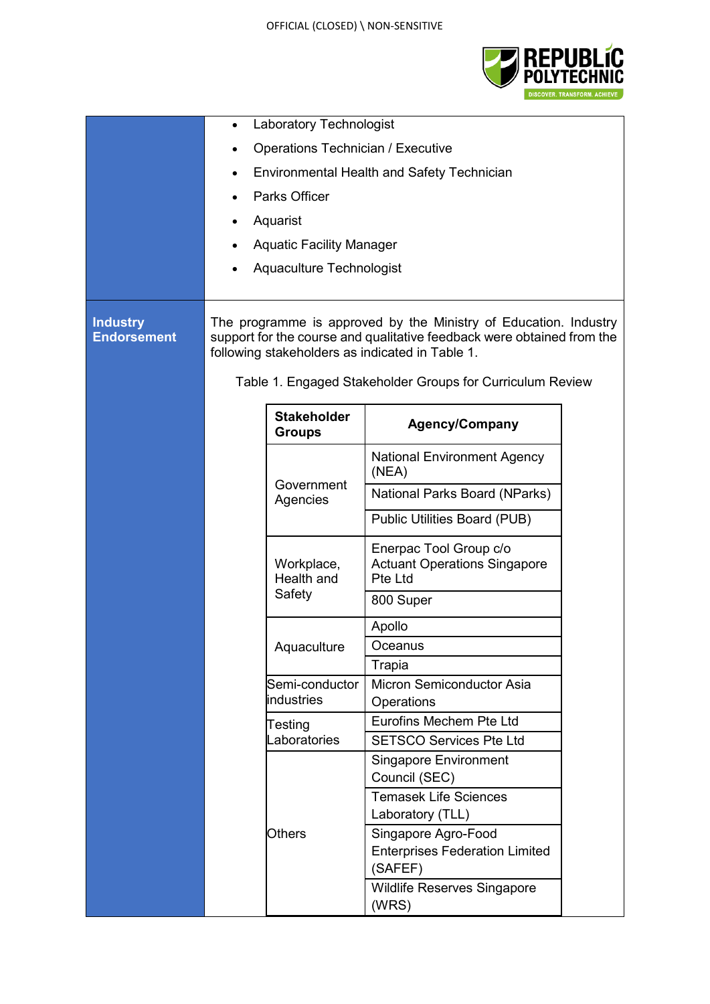

|                                       | Laboratory Technologist<br>$\bullet$                                                                                                                                                                                                                       |                                     |                                                                          |  |
|---------------------------------------|------------------------------------------------------------------------------------------------------------------------------------------------------------------------------------------------------------------------------------------------------------|-------------------------------------|--------------------------------------------------------------------------|--|
|                                       | <b>Operations Technician / Executive</b>                                                                                                                                                                                                                   |                                     |                                                                          |  |
|                                       | <b>Environmental Health and Safety Technician</b>                                                                                                                                                                                                          |                                     |                                                                          |  |
|                                       |                                                                                                                                                                                                                                                            | Parks Officer                       |                                                                          |  |
|                                       |                                                                                                                                                                                                                                                            | Aquarist                            |                                                                          |  |
|                                       |                                                                                                                                                                                                                                                            | <b>Aquatic Facility Manager</b>     |                                                                          |  |
| $\bullet$                             |                                                                                                                                                                                                                                                            |                                     |                                                                          |  |
|                                       |                                                                                                                                                                                                                                                            | Aquaculture Technologist            |                                                                          |  |
| <b>Industry</b><br><b>Endorsement</b> | The programme is approved by the Ministry of Education. Industry<br>support for the course and qualitative feedback were obtained from the<br>following stakeholders as indicated in Table 1.<br>Table 1. Engaged Stakeholder Groups for Curriculum Review |                                     |                                                                          |  |
|                                       |                                                                                                                                                                                                                                                            | <b>Stakeholder</b><br><b>Groups</b> | <b>Agency/Company</b>                                                    |  |
|                                       |                                                                                                                                                                                                                                                            |                                     | <b>National Environment Agency</b><br>(NEA)                              |  |
|                                       |                                                                                                                                                                                                                                                            | Government<br>Agencies              | National Parks Board (NParks)                                            |  |
|                                       |                                                                                                                                                                                                                                                            |                                     | Public Utilities Board (PUB)                                             |  |
|                                       |                                                                                                                                                                                                                                                            | Workplace,<br>Health and            | Enerpac Tool Group c/o<br><b>Actuant Operations Singapore</b><br>Pte Ltd |  |
|                                       |                                                                                                                                                                                                                                                            | Safety                              | 800 Super                                                                |  |
|                                       |                                                                                                                                                                                                                                                            |                                     | Apollo                                                                   |  |
|                                       |                                                                                                                                                                                                                                                            | Aquaculture                         | Oceanus                                                                  |  |
|                                       |                                                                                                                                                                                                                                                            |                                     | Trapia                                                                   |  |
|                                       |                                                                                                                                                                                                                                                            | Semi-conductor<br>industries        | Micron Semiconductor Asia                                                |  |
|                                       |                                                                                                                                                                                                                                                            |                                     | Operations<br>Eurofins Mechem Pte Ltd                                    |  |
|                                       |                                                                                                                                                                                                                                                            | Testing<br>Laboratories             | <b>SETSCO Services Pte Ltd</b>                                           |  |
|                                       |                                                                                                                                                                                                                                                            |                                     | <b>Singapore Environment</b>                                             |  |
|                                       |                                                                                                                                                                                                                                                            |                                     | Council (SEC)                                                            |  |
|                                       |                                                                                                                                                                                                                                                            |                                     | <b>Temasek Life Sciences</b><br>Laboratory (TLL)                         |  |
|                                       |                                                                                                                                                                                                                                                            | <b>Others</b>                       | Singapore Agro-Food                                                      |  |
|                                       |                                                                                                                                                                                                                                                            |                                     | <b>Enterprises Federation Limited</b>                                    |  |
|                                       |                                                                                                                                                                                                                                                            |                                     | (SAFEF)                                                                  |  |
|                                       |                                                                                                                                                                                                                                                            |                                     | Wildlife Reserves Singapore<br>(WRS)                                     |  |